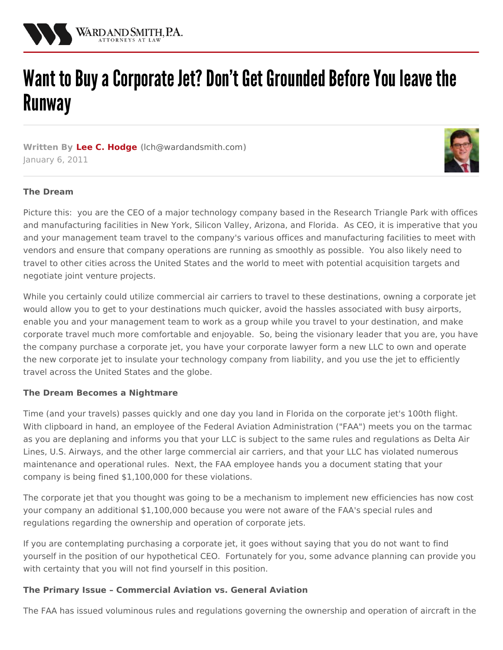

# Want to Buy a Corporate Jet? Don't Get Grounded Before You leave the **Runway**

**Written By Lee C. [Hodge](/attorneys/lee-hodge) (**[lch@wardandsmith.com](mailto:lch@wardandsmith.com)**)** January 6, 2011



#### **The Dream**

Picture this: you are the CEO of a major technology company based in the Research Triangle Park with offices and manufacturing facilities in New York, Silicon Valley, Arizona, and Florida. As CEO, it is imperative that you and your management team travel to the company's various offices and manufacturing facilities to meet with vendors and ensure that company operations are running as smoothly as possible. You also likely need to travel to other cities across the United States and the world to meet with potential acquisition targets and negotiate joint venture projects.

While you certainly could utilize commercial air carriers to travel to these destinations, owning a corporate jet would allow you to get to your destinations much quicker, avoid the hassles associated with busy airports, enable you and your management team to work as a group while you travel to your destination, and make corporate travel much more comfortable and enjoyable. So, being the visionary leader that you are, you have the company purchase a corporate jet, you have your corporate lawyer form a new LLC to own and operate the new corporate jet to insulate your technology company from liability, and you use the jet to efficiently travel across the United States and the globe.

#### **The Dream Becomes a Nightmare**

Time (and your travels) passes quickly and one day you land in Florida on the corporate jet's 100th flight. With clipboard in hand, an employee of the Federal Aviation Administration ("FAA") meets you on the tarmac as you are deplaning and informs you that your LLC is subject to the same rules and regulations as Delta Air Lines, U.S. Airways, and the other large commercial air carriers, and that your LLC has violated numerous maintenance and operational rules. Next, the FAA employee hands you a document stating that your company is being fined \$1,100,000 for these violations.

The corporate jet that you thought was going to be a mechanism to implement new efficiencies has now cost your company an additional \$1,100,000 because you were not aware of the FAA's special rules and regulations regarding the ownership and operation of corporate jets.

If you are contemplating purchasing a corporate jet, it goes without saying that you do not want to find yourself in the position of our hypothetical CEO. Fortunately for you, some advance planning can provide you with certainty that you will not find yourself in this position.

#### **The Primary Issue – Commercial Aviation vs. General Aviation**

The FAA has issued voluminous rules and regulations governing the ownership and operation of aircraft in the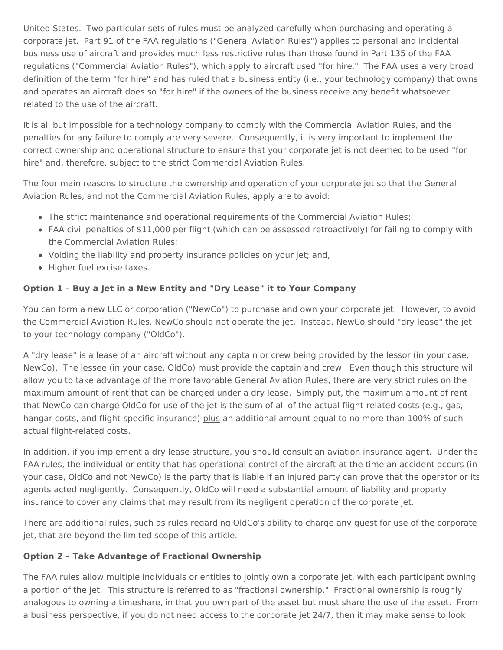United States. Two particular sets of rules must be analyzed carefully when purchasing and operating a corporate jet. Part 91 of the FAA regulations ("General Aviation Rules") applies to personal and incidental business use of aircraft and provides much less restrictive rules than those found in Part 135 of the FAA regulations ("Commercial Aviation Rules"), which apply to aircraft used "for hire." The FAA uses a very broad definition of the term "for hire" and has ruled that a business entity (i.e., your technology company) that owns and operates an aircraft does so "for hire" if the owners of the business receive any benefit whatsoever related to the use of the aircraft.

It is all but impossible for a technology company to comply with the Commercial Aviation Rules, and the penalties for any failure to comply are very severe. Consequently, it is very important to implement the correct ownership and operational structure to ensure that your corporate jet is not deemed to be used "for hire" and, therefore, subject to the strict Commercial Aviation Rules.

The four main reasons to structure the ownership and operation of your corporate jet so that the General Aviation Rules, and not the Commercial Aviation Rules, apply are to avoid:

- The strict maintenance and operational requirements of the Commercial Aviation Rules;
- FAA civil penalties of \$11,000 per flight (which can be assessed retroactively) for failing to comply with the Commercial Aviation Rules;
- Voiding the liability and property insurance policies on your jet; and,
- Higher fuel excise taxes.

## **Option 1 – Buy a Jet in a New Entity and "Dry Lease" it to Your Company**

You can form a new LLC or corporation ("NewCo") to purchase and own your corporate jet. However, to avoid the Commercial Aviation Rules, NewCo should not operate the jet. Instead, NewCo should "dry lease" the jet to your technology company ("OldCo").

A "dry lease" is a lease of an aircraft without any captain or crew being provided by the lessor (in your case, NewCo). The lessee (in your case, OldCo) must provide the captain and crew. Even though this structure will allow you to take advantage of the more favorable General Aviation Rules, there are very strict rules on the maximum amount of rent that can be charged under a dry lease. Simply put, the maximum amount of rent that NewCo can charge OldCo for use of the jet is the sum of all of the actual flight-related costs (e.g., gas, hangar costs, and flight-specific insurance) plus an additional amount equal to no more than 100% of such actual flight-related costs.

In addition, if you implement a dry lease structure, you should consult an aviation insurance agent. Under the FAA rules, the individual or entity that has operational control of the aircraft at the time an accident occurs (in your case, OldCo and not NewCo) is the party that is liable if an injured party can prove that the operator or its agents acted negligently. Consequently, OldCo will need a substantial amount of liability and property insurance to cover any claims that may result from its negligent operation of the corporate jet.

There are additional rules, such as rules regarding OldCo's ability to charge any guest for use of the corporate jet, that are beyond the limited scope of this article.

### **Option 2 – Take Advantage of Fractional Ownership**

The FAA rules allow multiple individuals or entities to jointly own a corporate jet, with each participant owning a portion of the jet. This structure is referred to as "fractional ownership." Fractional ownership is roughly analogous to owning a timeshare, in that you own part of the asset but must share the use of the asset. From a business perspective, if you do not need access to the corporate jet 24/7, then it may make sense to look